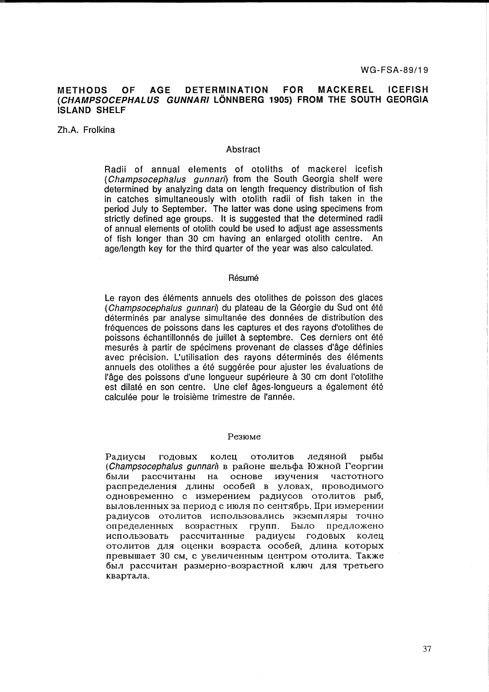#### **AGE DETERMINATION FOR MACKEREL ICEFISH METHODS OF** (CHAMPSOCEPHALUS GUNNARI LÖNNBERG 1905) FROM THE SOUTH GEORGIA **ISLAND SHELF**

Zh.A. Frolkina

# Abstract

Radii of annual elements of otoliths of mackerel icefish (Champsocephalus gunnari) from the South Georgia shelf were determined by analyzing data on length frequency distribution of fish in catches simultaneously with otolith radii of fish taken in the period July to September. The latter was done using specimens from strictly defined age groups. It is suggested that the determined radii of annual elements of otolith could be used to adjust age assessments of fish longer than 30 cm having an enlarged otolith centre. An age/length key for the third quarter of the year was also calculated.

# Résumé

Le rayon des éléments annuels des otolithes de poisson des glaces (Champsocephalus gunnari) du plateau de la Géorgie du Sud ont été déterminés par analyse simultanée des données de distribution des fréquences de poissons dans les captures et des rayons d'otolithes de poissons échantillonnés de juillet à septembre. Ces derniers ont été mesurés à partir de spécimens provenant de classes d'âge définies avec précision. L'utilisation des rayons déterminés des éléments annuels des otolithes a été suggérée pour ajuster les évaluations de l'âge des poissons d'une longueur supérieure à 30 cm dont l'otolithe est dilaté en son centre. Une clef âges-longueurs a également été calculée pour le troisième trimestre de l'année.

## Резюме

колец отолитов ледяной рыбы Радиусы ГОДОВЫХ (Champsocephalus qunnari) в районе шельфа Южной Георгии рассчитаны на основе изучения частотного были распределения длины особей в уловах, проводимого одновременно с измерением радиусов отолитов рыб, выловленных за период с июля по сентябрь. При измерении радиусов отолитов использовались экземпляры точно определенных возрастных групп. Было предложено использовать рассчитанные радиусы годовых колец отолитов для оценки возраста особей, длина которых превышает 30 см. с увеличенным центром отолита. Также был рассчитан размерно-возрастной ключ для третьего квартала.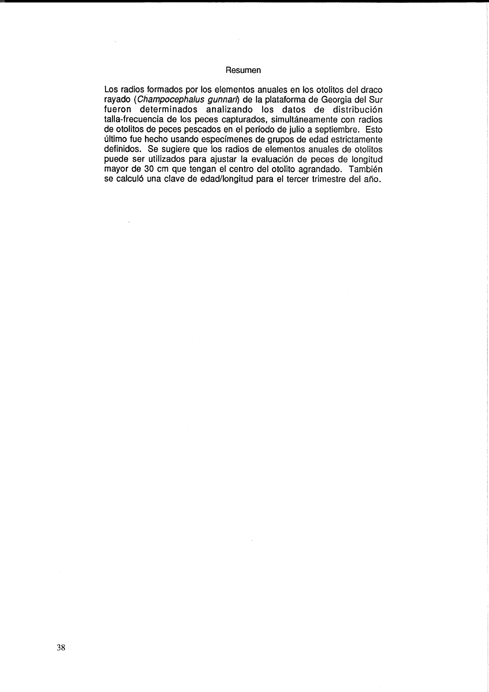# Resumen

Los radios formados por los elementos anuales en los otolitos del draco rayado (Champocephalus gunnari) de la plataforma de Georgia del Sur fueron determinados analizando los datos de distribución talla-frecuencia de los peces capturados, simultáneamente con radios de otolitos de peces pescados en el perfodo de julio a septiembre. Esto ultimo fue hecho usando especfmenes de grupos de edad estrictamente definidos. Se sugiere que los radios de elementos anuales de otolitos puede ser utilizados para ajustar la evaluación de peces de longitud mayor de 30 cm que tengan el centro del otolito agrandado. Tambien se calculó una clave de edad/longitud para el tercer trimestre del año.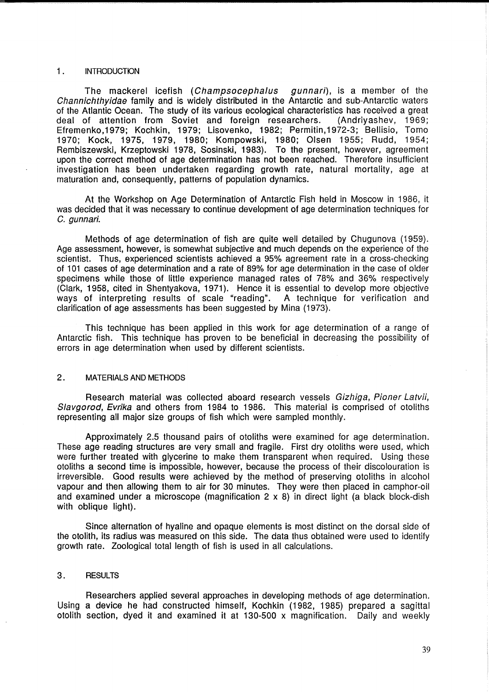# 1. INTRODUCTON

The mackerel icefish (Champsocephalus gunnari), is a member of the Channichthyidae family and is widely distributed in the Antarctic and sub-Antarctic waters of the Atlantic Ocean. The study of its various ecological characteristics has received a great deal of attention from Soviet and foreign researchers. (Andriyashev, 1969; Efremenko,1979; Kochkin, 1979; Lisovenko, 1982; Permitin,1972-3; Bellisio, Tomo 1970; Kock, 1975, 1979, 1980; Kompowski, 1980; Olsen 1955; Rudd, 1954; Rembiszewski, Krzeptowski 1978, Sosinski, 1983). To the present, however, agreement upon the correct method of age determination has not been reached. Therefore insufficient investigation has been undertaken regarding growth rate, natural mortality, age at maturation and, consequently, patterns of population dynamics.

At the Workshop on Age Determination of Antarctic Fish held in Moscow in 1986, it was decided that it was necessary to continue development of age determination techniques for C. gunnari.

Methods of age determination of fish are quite well detailed by Chugunova (1959). Age assessment, however, is somewhat subjective and much depends on the experience of the scientist. Thus, experienced scientists achieved a 95% agreement rate in a cross-checking of 101 cases of age determination and a rate of 89% for age determination in the case of older specimens while those of little experience managed rates of 78% and 36% respectively (Clark, 1958, cited in Shentyakova, 1971). Hence it is essential to develop more objective ways of interpreting results of scale "reading". A technique for verification and clarification of age assessments has been suggested by Mina (1973).

This technique has been applied in this work for age determination of a range of Antarctic fish. This technique has proven to be beneficial in decreasing the possibility of errors in age determination when used by different scientists.

# 2. MATERIALS AND METHODS

Research material was collected aboard research vessels Gizhiga, Pioner Latvii, Slavgorod, Evrika and others from 1984 to 1986. This material is comprised of otoliths representing all major size groups of fish which were sampled monthly.

Approximately 2.5 thousand pairs of otoliths were examined for age determination. These age reading structures are very small and fragile. First dry otoliths were used, which were further treated with glycerine to make them transparent when required. Using these otoliths a second time is impossible, however, because the process of their discolouration is irreversible. Good results were achieved by the method of preserving otoliths in alcohol vapour and then allowing them to air for 30 minutes. They were then placed in camphor-oil and examined under a microscope (magnification  $2 \times 8$ ) in direct light (a black block-dish with oblique light).

Since alternation of hyaline and opaque elements is most distinct on the dorsal side of the otolith, its radius was measured on this side. The data thus obtained were used to identify growth rate. Zoological total length of fish is used in all calculations.

## 3. RESULTS

Researchers applied several approaches in developing methods of age determination. Using a device he had constructed himself, Kochkin (1982, 1985) prepared a sagittal otolith section, dyed it and examined it at 130-500 x magnification. Daily and weekly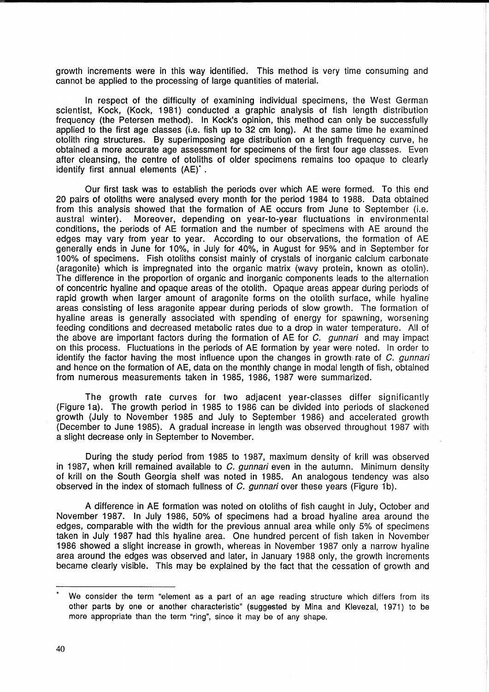growth increments were in this way identified. This method is very time consuming and cannot be applied to the processing of large quantities of material.

In respect of the difficulty of examining individual specimens, the West German scientist, Kock, (Kock, 1981) conducted a graphic analysis of fish length distribution frequency (the Petersen method). In Kock's opinion, this method can only be successfully applied to the first age classes (i.e. fish up to 32 cm long). At the same time he examined otolith ring structures. By superimposing age distribution on a length frequency curve, he obtained a more accurate age assessment for specimens of the first four age classes. Even after cleansing, the centre of otoliths of older specimens remains too opaque to clearly identify first annual elements (AE)\* .

Our first task was to establish the periods over which AE were formed. To this end 20 pairs of otoliths were analysed every month for the period 1984 to 1988. Data obtained from this analysis showed that the formation of AE occurs from June to September (i.e. austral winter). Moreover, depending on year-to-year fluctuations in environmental conditions, the periods of AE formation and the number of specimens with AE around the edges may vary from year to year. According to our observations, the formation of AE generally ends in June for 10%, in July for 40%, in August for 95% and in September for 100% of specimens. Fish otoliths consist mainly of crystals of inorganic calcium carbonate (aragonite) which is impregnated into the organic matrix (wavy protein, known as otolin). The difference in the proportion of organic and inorganic components leads to the alternation of concentric hyaline and opaque areas of the otolith. Opaque areas appear during periods of rapid growth when larger amount of aragonite forms on the otolith surface, while hyaline areas consisting of less aragonite appear during periods of slow growth. The formation of hyaline areas is generally associated with spending of energy for spawning, worsening feeding conditions and decreased metabolic rates due to a drop in water temperature. All of the above are important factors during the formation of AE for  $C$ . *gunnari* and may impact on this process. Fluctuations in the periods of AE formation by year were noted. In order to identify the factor having the most influence upon the changes in growth rate of C, gunnari and hence on the formation of AE, data on the monthly change in modal length of fish, obtained from numerous measurements taken in 1985, 1986, 1987 were summarized.

The growth rate curves for two adjacent year-classes differ significantly (Figure 1a). The growth period in 1985 to 1986 can be divided into periods of slackened growth (July to November 1985 and July to September 1986) and accelerated growth (December to June 1985). A gradual increase in length was observed throughout 1987 with a slight decrease only in September to November.

During the study period from 1985 to 1987, maximum density of krill was observed in 1987, when krill remained available to  $C$ . gunnari even in the autumn. Minimum density of krill on the South Georgia shelf was noted in 1985. An analogous tendency was also observed in the index of stomach fullness of  $C$ . *gunnari* over these years (Figure 1b).

A difference in AE formation was noted on otoliths of fish caught in July, October and November 1987. In July 1986, 50% of specimens had a broad hyaline area around the edges, comparable with the width for the previous annual area while only 5% of specimens taken in July 1987 had this hyaline area. One hundred percent of fish taken in November 1986 showed a slight increase in growth, whereas in November 1987 only a narrow hyaline area around the edges was observed and later, in January 1988 only, the growth increments became clearly visible. This may be explained by the fact that the cessation of growth and

We consider the term "element as a part of an age reading structure which differs from its other parts by one or another characteristic" (suggested by Mina and Klevezal, 1971) to be more appropriate than the term "ring", since it may be of any shape.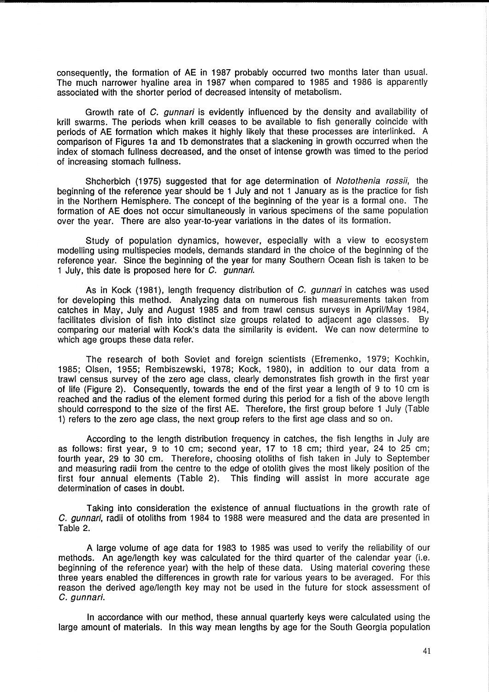consequently, the formation of AE in 1987 probably occurred two months later than usual. The much narrower hyaline area in 1987 when compared to 1985 and 1986 is apparently associated with the shorter period of decreased intensity of metabolism.

Growth rate of C. gunnari is evidently influenced by the density and availability of krill swarms. The periods when krill ceases to be available to fish generally coincide with periods of AE formation which makes it highly likely that these processes are interlinked. A comparison of Figures 1a and 1b demonstrates that a slackening in growth occurred when the index of stomach fullness decreased, and the onset of intense growth was timed to the period of increasing stomach fullness.

Shcherbich (1975) suggested that for age determination of Notothenia rossii, the beginning of the reference year should be 1 July and not 1 January as is the practice for fish in the Northern Hemisphere. The concept of the beginning of the year is a formal one. The formation of AE does not occur simultaneously in various specimens of the same population over the year. There are also year-to-year variations in the dates of its formation.

Study of population dynamics, however, especially with a view to ecosystem modelling using multispecies models, demands standard in the choice of the beginning of the reference year. Since the beginning of the year for many Southern Ocean fish is taken to be 1 July, this date is proposed here for C. gunnari.

As in Kock (1981), length frequency distribution of C. gunnari in catches was used for developing this method. Analyzing data on numerous fish measurements taken from catches in May, July and August 1985 and from trawl census surveys in April/May 1984, facilitates division of fish into distinct size groups related to adjacent age classes. By comparing our material with Kock's data the similarity is evident. We can now determine to which age groups these data refer.

The research of both Soviet and foreign scientists (Efremenko, 1979; Kochkin, 1985; Olsen, 1955; Rembiszewski, 1978; Kock, 1980), in addition to our data from a trawl census survey of the zero age class, clearly demonstrates fish growth in the first year of life (Figure 2). Consequently, towards the end of the first year a length of 9 to 10 cm is reached and the radius of the element formed during this period for a fish of the above length should correspond to the size of the first AE. Therefore, the first group before 1 July (Table 1) refers to the zero age class, the next group refers to the first age class and so on.

According to the length distribution frequency in catches, the fish lengths in July are as follows: first year, 9 to 10 cm; second year, 17 to 18 cm; third year, 24 to 25 cm; fourth year, 29 to 30 cm. Therefore, choosing otoliths of fish taken in July to September and measuring radii from the centre to the edge of otolith gives the most likely position of the first four annual elements (Table 2). This finding will assist in more accurate age determination of cases in doubt.

Taking into consideration the existence of annual fluctuations in the growth rate of C. gunnari, radii of otoliths from 1984 to 1988 were measured and the data are presented in Table 2.

A large volume of age data for 1983 to 1985 was used to verify the reliability of our methods. An age/length key was calculated for the third quarter of the calendar year (i.e. beginning of the reference year) with the help of these data. Using material covering these three years enabled the differences in growth rate for various years to be averaged. For this reason the derived age/length key may not be used in the future for stock assessment of C. gunnari.

In accordance with our method, these annual quarterly keys were calculated using the large amount of materials. In this way mean lengths by age for the South Georgia population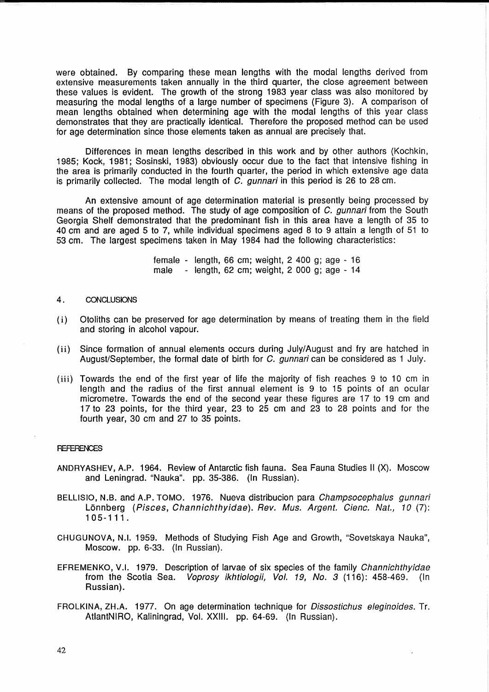were obtained. By comparing these mean lengths with the modal lengths derived from extensive measurements taken annually in the third quarter, the close agreement between these values is evident. The growth of the strong 1983 year class was also monitored by measuring the modal lengths of a large number of specimens (Figure 3). A comparison of mean lengths obtained when determining age with the modal lengths of this year class demonstrates that they are practically identical. Therefore the proposed method can be used for age determination since those elements taken as annual are precisely that.

Differences in mean lengths described in this work and by other authors (Kochkin, 1985; Kock, 1981; Sosinski, 1983) obviously occur due to the fact that intensive fishing in the area is primarily conducted in the fourth quarter, the period in which extensive age data is primarily collected. The modal length of C. gunnari in this period is 26 to 28 cm.

An extensive amount of age determination material is presently being processed by means of the proposed method. The study of age composition of C, quantity from the South Georgia Shelf demonstrated that the predominant fish in this area have a length of 35 to 40 cm and are aged 5 to 7, while individual specimens aged 8 to 9 attain a length of 51 to 53 cm. The largest specimens taken in May 1984 had the following characteristics:

> female - length, 66 cm; weight, 2 400 g; age - 16 male - length, 62 cm; weight, 2 000 g; age - 14

### 4. CONCLUSIONS

- (i) Otoliths can be preserved for age determination by means of treating them in the field and storing in alcohol vapour.
- (ii) Since formation of annual elements occurs during July/August and fry are hatched in August/September, the formal date of birth for C. gunnari can be considered as 1 July.
- $(iii)$  Towards the end of the first year of life the majority of fish reaches 9 to 10 cm in length and the radius of the first annual element is 9 to 15 points of an ocular micrometre. Towards the end of the second year these figures are 17 to 19 cm and 17 to 23 points, for the third year, 23 to 25 cm and 23 to 28 points and for the fourth year, 30 cm and 27 to 35 points.

# **REFERENCES**

- ANDRYASHEV, A.P. 1964. Review of Antarctic fish fauna. Sea Fauna Studies 11 (X). Moscow and Leningrad. "Nauka". pp. 35-386. (In Russian).
- BELLlSIO, N.B. and A.P. TOMO. 1976. Nueva distribucion para Champsocephalus gunnari Lönnberg (Pisces, Channichthyidae). Rev. Mus. Argent. Cienc. Nat., 10 (7): 105-111.
- CHUGUNOVA, N.I. 1959. Methods of Studying Fish Age and Growth, "Sovetskaya Nauka", Moscow. pp. 6-33. (In Russian).
- EFREMENKO, V.1. 1979. Description of larvae of six species of the family Channichthyidae from the Scotia Sea. Voprosy ikhtiologii, Vol. 19, No. 3 (116): 458-469. (In Russian).
- FROLKINA, ZH.A. 1977. On age determination technique for *Dissostichus eleginoides*. Tr. AtlantNIRO, Kaliningrad, Vol. XXIII. pp. 64-69. (In Russian).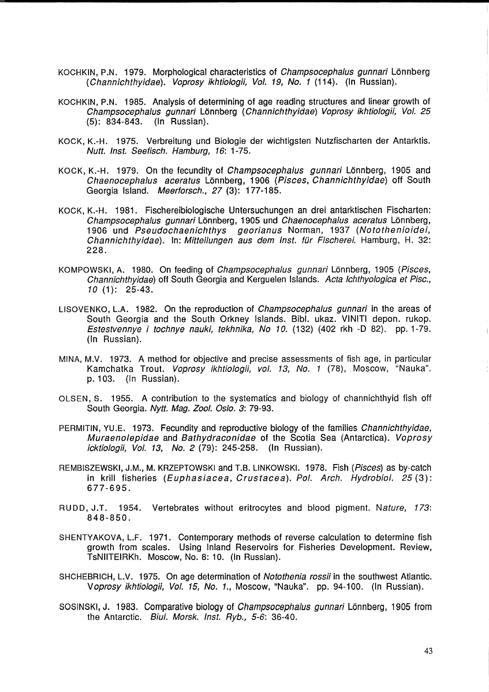- KOCHKIN, P.N. 1979. Morphological characteristics of Champsocephalus gunnari Lonnberg (Channichthyidae). Voprosy ikhtiologii, Vo/. 19, No. 1 (114). (In Russian).
- KOCHKIN, P.N. 1985. Analysis of determining of age reading structures and linear growth of Champsocephalus gunnari Lönnberg (Channichthyidae) Voprosy ikhtiologii, Vol. 25<br>(5): 834-843. (In Russian).  $(5): 834 - 843.$
- KOCK, K.-H. 1975. Verbreitung und Biologie der wichtigsten Nutzfischarten der Antarktis. Nutt. Inst. Seefisch. Hamburg, 16: 1-75.
- KOCK, K.-H. 1979. On the fecundity of *Champsocephalus gunnari* Lönnberg, 1905 and Chaenocephalus aceratus Lönnberg, 1906 (Pisces, Channichthyidae) off South Georgia Island. Meerforsch., 27 (3): 177-185.
- KOCK, K.-H. 1981. Fischereibiologische Untersuchungen an drei antarktischen Fischarten: Champsocephalus gunnari Lönnberg, 1905 und Chaenocephalus aceratus Lönnberg, 1906 und Pseudochaenichthys georianus Norman, 1937 (Notothenioidei, Channichthyidae). In: Mitteilungen aus dem Inst. für Fischerei. Hamburg, H. 32: 228.
- KOMPOWSKI, A. 1980. On feeding of *Champsocephalus qunnari* Lönnberg, 1905 (Pisces, Channichthyidae) off South Georgia and Kerguelen Islands. Acta Ichthyologica et Pisc., 10 (1): 25-43.
- LISOVENKO, L.A. 1982. On the reproduction of *Champsocephalus gunnari* in the areas of South Georgia and the South Orkney Islands. Bibl. ukaz. VINITI depon. rukop. Estestvennye i tochnye nauki, tekhnika, No 10. (132) (402 rkh -0 82). pp. 1-79. (In Russian).
- MINA, M.V. 1973. A method for objective and precise assessments of fish age, in particular Kamchatka Trout. Voprosy ikhtiologii, vol. 13, No. 1 (78), Moscow, "Nauka". p. 103. (In Russian).
- OLSEN, S. 1955. A contribution to the systematics and biology of channichthyid fish off South Georgia. Nytt. Mag. Zool. Oslo. 3: 79-93.
- PERMITIN, YU.E. 1973. Fecundity and reproductive biology of the families Channichthyidae, Muraenolepidae and Bathydraconidae of the Scotia Sea (Antarctica). Voprosy icktiologii, Vol. 13, No. 2 (79): 245-258. (In Russian).
- REMBISZEWSKI, J.M., M. KRZEPTOWSKI and T.B. LlNKOWSKI. 1978. Fish (Pisces) as by-catch in krill fisheries (Euphasiacea, Crustacea). Pol. Arch. Hydrobiol. 25 (3): 677-695.
- RUDD, J.T. 1954. Vertebrates without eritrocytes and blood pigment. Nature, 173: 848-850.
- SHENTYAKOVA, L.F. 1971. Contemporary methods of reverse calculation to determine fish growth from scales. Using Inland Reservoirs for Fisheries Development. Review, TsNIITEIRKh. Moscow, No. 8: 10. (In Russian).
- SHCHEBRICH, L.V. 1975. On age determination of Notothenia rossii in the southwest Atlantic. Voprosy ikhtiologii, Vol. 15, No. 1., Moscow, "Nauka". pp. 94-100. (In Russian).
- SOSINSKI, J. 1983. Comparative biology of Champsocephalus gunnari Lonnberg, 1905 from the Antarctic. Biul. Morsk. Inst. Ryb., 5-6: 36-40.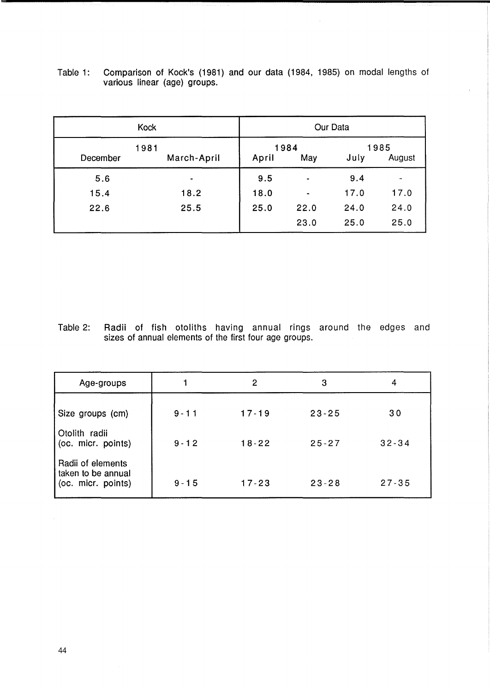| Kock     | Our Data            |                      |                          |                        |                          |  |
|----------|---------------------|----------------------|--------------------------|------------------------|--------------------------|--|
| December | 1981<br>March-April | 1984<br>May<br>April |                          | 1985<br>July<br>August |                          |  |
| 5.6      | $\blacksquare$      | 9.5                  | $\overline{\phantom{0}}$ | 9.4                    | $\overline{\phantom{a}}$ |  |
| 15.4     | 18.2                | 18.0                 | $\blacksquare$           | 17.0                   | 17.0                     |  |
| 22.6     | 25.5                | 25.0                 | 22.0                     | 24.0                   | 24.0                     |  |
|          |                     |                      | 23.0                     | 25.0                   | 25.0                     |  |

Table 1: Comparison of Kock's (1981) and our data (1984, 1985) on modal lengths of various linear (age) groups.

Table 2: Radii of fish otoliths having annual rings around the edges and sizes of annual elements of the first four age groups.

| Age-groups                                                    |          | 2         | 3         | 4         |
|---------------------------------------------------------------|----------|-----------|-----------|-----------|
| Size groups (cm)                                              | $9 - 11$ | $17 - 19$ | $23 - 25$ | 30        |
| Otolith radii<br>(oc. micr. points)                           | $9 - 12$ | $18 - 22$ | $25 - 27$ | $32 - 34$ |
| Radii of elements<br>taken to be annual<br>(oc. micr. points) | $9 - 15$ | $17 - 23$ | $23 - 28$ | $27 - 35$ |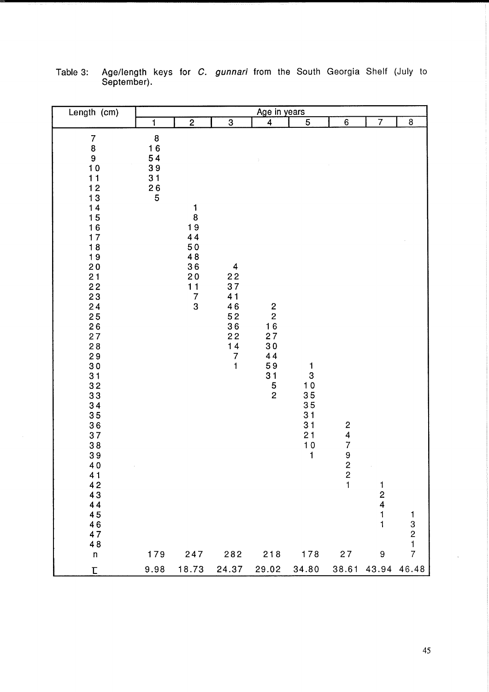| Length (cm)                                                                                                                                                                                                                                                                                                                                               | Age in years                                                                                              |                                                                                            |                                                                                                                                                        |                                                                                                   |                                                              |                                                      |                                                                   |       |
|-----------------------------------------------------------------------------------------------------------------------------------------------------------------------------------------------------------------------------------------------------------------------------------------------------------------------------------------------------------|-----------------------------------------------------------------------------------------------------------|--------------------------------------------------------------------------------------------|--------------------------------------------------------------------------------------------------------------------------------------------------------|---------------------------------------------------------------------------------------------------|--------------------------------------------------------------|------------------------------------------------------|-------------------------------------------------------------------|-------|
|                                                                                                                                                                                                                                                                                                                                                           | 1                                                                                                         | $\overline{2}$                                                                             | $\overline{3}$                                                                                                                                         | $\overline{4}$                                                                                    | $\sqrt{5}$                                                   | 6                                                    | $\overline{7}$                                                    | 8     |
| 7<br>8<br>9<br>$10$<br>11<br>$12$<br>$13$<br>$14$<br>$15$<br>$16$<br>17<br>$\overline{18}$<br>19<br>20<br>21<br>22<br>$\overline{2}3$<br>24<br>$\begin{array}{c} 25 \\ 26 \end{array}$<br>27<br>$2\,8$<br>29<br>$3\,0$<br>31<br>32<br>33<br>34<br>35<br>36<br>37<br>$3\,8$<br>$3\,9$<br>40<br>41<br>42<br>43<br>44<br>45<br>46<br>47<br>48<br>$\mathsf n$ | $\begin{array}{c} 8 \\ 16 \\ 54 \end{array}$<br>39<br>31<br>$\begin{array}{c} 26 \\ 5 \end{array}$<br>179 | 1<br>$\bf 8$<br>19<br>44<br>$50$<br>48<br>36<br>$2\,0$<br>11<br>$\overline{7}$<br>3<br>247 | $\overline{\mathbf{4}}$<br>$\begin{array}{c} 22 \\ 37 \end{array}$<br>41<br>46<br>52<br>36<br>22<br>14<br>$\begin{array}{c} 7 \\ 1 \end{array}$<br>282 | $\begin{array}{c} 2 \\ 2 \\ 16 \end{array}$<br>27<br>30<br>44<br>59<br>31<br>$\frac{5}{2}$<br>218 | 1<br>3<br>10<br>35<br>35<br>31<br>31<br>21<br>10<br>1<br>178 | 24792<br>$\begin{array}{c} 2 \\ 1 \end{array}$<br>27 | $\frac{1}{2}$<br>$\mathbf{1}$<br>$\mathbf{1}$<br>$\boldsymbol{9}$ | 13217 |
| $\boldsymbol{\mathsf{L}}$                                                                                                                                                                                                                                                                                                                                 | 9.98                                                                                                      | 18.73                                                                                      | 24.37                                                                                                                                                  | 29.02                                                                                             | 34.80                                                        | 38.61                                                | 43.94                                                             | 46.48 |

Table 3: Age/length keys for C. gunnari from the South Georgia Shelf (July to September).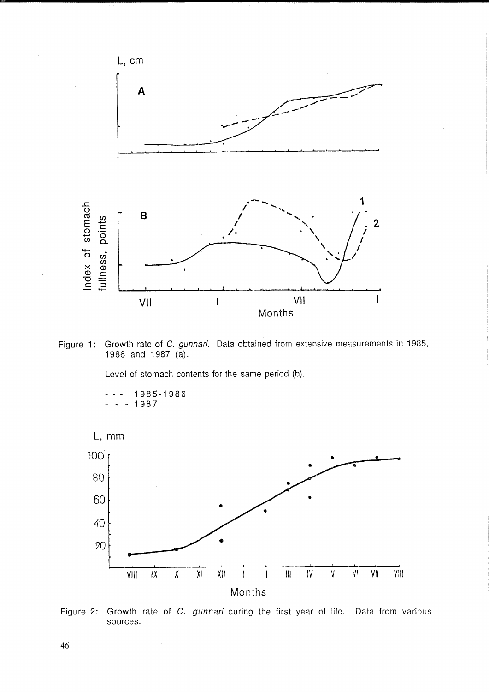

Figure 1: Growth rate of C. gunnari. Data obtained from extensive measurements in 1985, 1986 and 1987 (a).

Level of stomach contents for the same period (b).

1985-1986  $-1987$ 





 $\hat{\mathcal{A}}$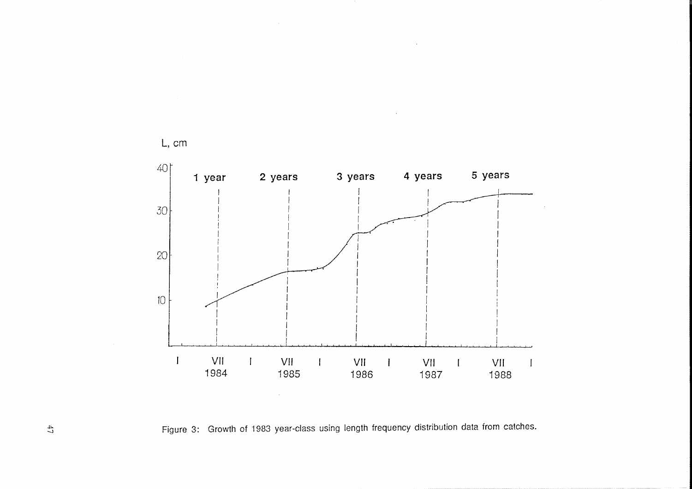

Figure 3: Growth of 1983 year-class using length frequency distribution data from catches.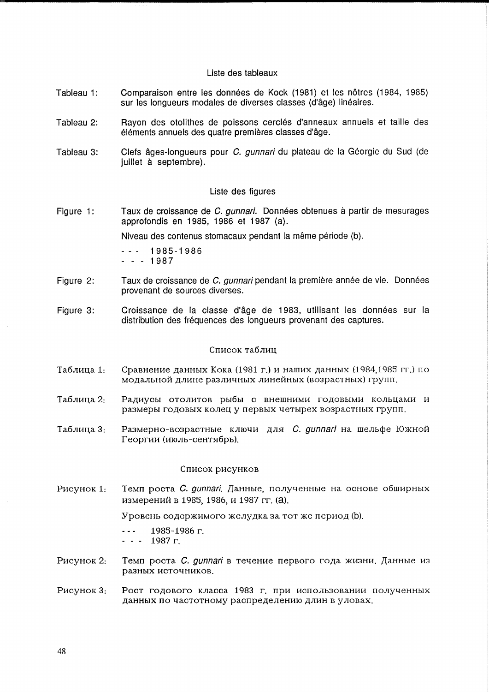# Liste des tableaux

- Tableau 1: Comparaison entre les données de Kock (1981) et les nôtres (1984, 1985) sur les longueurs modales de diverses classes (d'âge) linéaires.
- Tableau 2: Rayon des otolithes de poissons cerclés d'anneaux annuels et taille des éléments annuels des quatre premières classes d'âge.
- Tableau 3: Clefs âges-Iongueurs pour C. qunnari du plateau de la Géorgie du Sud (de juillet à septembre).

# Liste des figures

Figure 1: Taux de croissance de C. gunnari. Données obtenues à partir de mesurages approfondis en 1985, 1986 et 1987 (a).

Niveau des contenus stomacaux pendant la même période (b).

1985-1986 ---1987

- Figure 2: Taux de croissance de C. gunnari pendant la première année de vie. Données provenant de sources diverses.
- Figure 3: Croissance de la classe d'âge de 1983, utilisant les données sur la distribution des frequences des longueurs provenant des captures.

# Список таблиц

- Таблица 1: Сравнение данных Кока (1981 г.) и наших данных (1984,1985 гг.) по модальной длине различных линейных (возрастных) групп.
- Таблица 2: Радиусы отолитов рыбы с внешними годовыми кольцами и размеры годовых колец у первых четырех возрастных групп.
- Таблица 3: Размерно-возрастные ключи для *С. gunnari* на шельфе Южной Георгии (июль-сентябрь).

### Список рисунков

P<sub>HC</sub>y<sub>HOK</sub> 1: Темп роста С. gunnari. Данные, полученные на основе обширных измерений в 1985, 1986, и 1987 гг. (а).

Уровень содержимого желудка за тот же период (b).

1985-1986 r. 1987 r.  $\frac{1}{2}$  and  $\frac{1}{2}$ 

- 
- PHCYHOK 2: Темп роста С. gunnari в течение первого года жизни. Данные из разных источников.
- P<sub>HC</sub>y<sub>HOK</sub> 3: Рост годового класса 1983 г. при использовании полученных данных по частотному распределению длин в уловах.